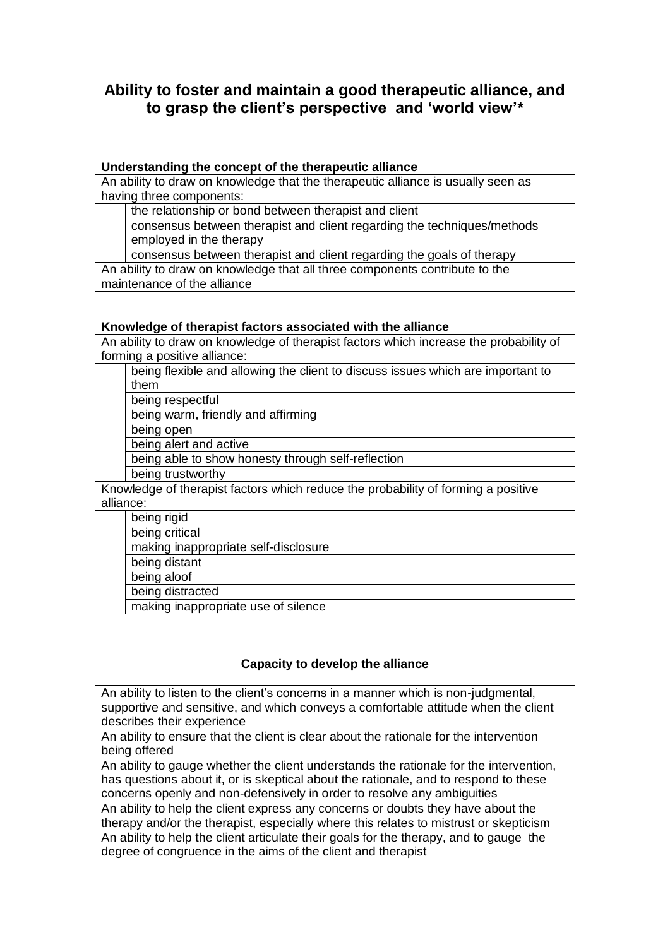# **Ability to foster and maintain a good therapeutic alliance, and to grasp the client's perspective and 'world view'\***

## **Understanding the concept of the therapeutic alliance**

An ability to draw on knowledge that the therapeutic alliance is usually seen as having three components:

the relationship or bond between therapist and client

consensus between therapist and client regarding the techniques/methods employed in the therapy

consensus between therapist and client regarding the goals of therapy

An ability to draw on knowledge that all three components contribute to the maintenance of the alliance

#### **Knowledge of therapist factors associated with the alliance**

An ability to draw on knowledge of therapist factors which increase the probability of forming a positive alliance:

being flexible and allowing the client to discuss issues which are important to them

being respectful

being warm, friendly and affirming

being open

being alert and active

being able to show honesty through self-reflection

being trustworthy

Knowledge of therapist factors which reduce the probability of forming a positive alliance:

being rigid

being critical

making inappropriate self-disclosure

being distant

being aloof

being distracted

making inappropriate use of silence

# **Capacity to develop the alliance**

An ability to listen to the client's concerns in a manner which is non-judgmental, supportive and sensitive, and which conveys a comfortable attitude when the client describes their experience

An ability to ensure that the client is clear about the rationale for the intervention being offered

An ability to gauge whether the client understands the rationale for the intervention, has questions about it, or is skeptical about the rationale, and to respond to these concerns openly and non-defensively in order to resolve any ambiguities

An ability to help the client express any concerns or doubts they have about the therapy and/or the therapist, especially where this relates to mistrust or skepticism An ability to help the client articulate their goals for the therapy, and to gauge the degree of congruence in the aims of the client and therapist